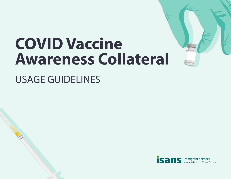## **COVID Vaccine Awareness Collateral**

## USAGE GUIDELINES

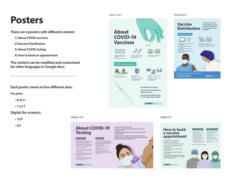## **Posters**

**There are 4 posters with different content:**

- **1) About COVID vaccines**
- **2) Vaccine Distribution**
- **3) About COVID testing**
- **4) How to book an appointment**

**The content can be modified and customized for other languages in Google docs.**

**Each poster comes in four different sizes.**

**Testing**

**Some people who have COVID-19 don't have** 

**isans** *Immigrant Services* 

**You can book your appointments online or over the phone. The test will take place at a primary care assessment centre near you. The test is similar to the rapid test. Negative results are emailed to you in 24-72 hours. Public Health will call you if you test positive for** 

**COVID-19.** 

**– even if you don't have any symptoms. Rapid testing is available for low risk individuals over the age of 16. You are considered low risk if: • You haven't travelled outside of Nova Scotia • You don't have symptoms • You haven't been to a potential exposure location • You haven't been in contact with someone who has tested positive The test is a simple swab to the back of the nose. It takes less than 1 minute to complete, and you get your results in about 15 minutes. These tests are free. You can find out about rapid testing locations on the Nova Scotia Health Authority's website and social media channels.** 

**For print:**

- **8.5x11**
- **11x17**

**Digital (for screens):**

**• 16:9**

**• 4:3**





**4 months 1 2**

isans

 $B^2$  **Booking by phone** 

**• If you do not have a healthcard, you must call to book your appointment. • To book your appointment, call 1-833-797-7772. • You may need to wait on hold to book your appointment. • When it's your turn, someone will book an appointment for you. • You will have to call again if the phone line is busy. • You can call from 7:00 am to 10:00 pm, 7 days a week.** 

**The COVID vaccine is free. Your age determines when you get your COVID vaccine. They will vaccinate oldest to youngest.**

*isans* Immigrant Services

**before each appointment.** 

**phone or online.** 

**at the same time.** 

**after your first.**